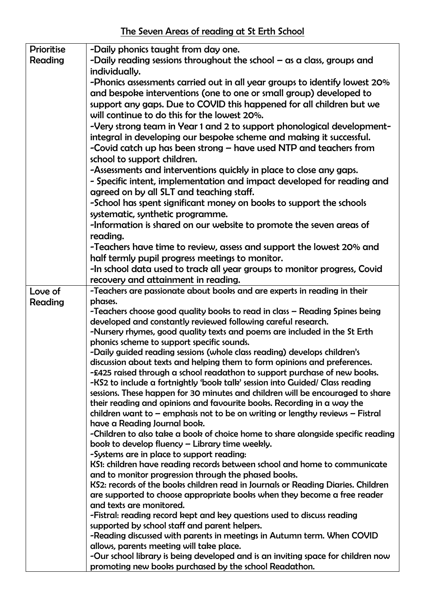The Seven Areas of reading at St Erth School

| <b>Prioritise</b> | -Daily phonics taught from day one.                                                                                                                         |
|-------------------|-------------------------------------------------------------------------------------------------------------------------------------------------------------|
| Reading           | -Daily reading sessions throughout the school $-\alpha s$ a class, groups and                                                                               |
|                   | individually.                                                                                                                                               |
|                   | -Phonics assessments carried out in all year groups to identify lowest 20%                                                                                  |
|                   | and bespoke interventions (one to one or small group) developed to                                                                                          |
|                   | support any gaps. Due to COVID this happened for all children but we                                                                                        |
|                   | will continue to do this for the lowest 20%.                                                                                                                |
|                   | -Very strong team in Year 1 and 2 to support phonological development-                                                                                      |
|                   | integral in developing our bespoke scheme and making it successful.                                                                                         |
|                   | -Covid catch up has been strong - have used NTP and teachers from                                                                                           |
|                   | school to support children.                                                                                                                                 |
|                   | -Assessments and interventions quickly in place to close any gaps.                                                                                          |
|                   | - Specific intent, implementation and impact developed for reading and                                                                                      |
|                   | agreed on by all SLT and teaching staff.                                                                                                                    |
|                   | -School has spent significant money on books to support the schools                                                                                         |
|                   | systematic, synthetic programme.                                                                                                                            |
|                   | -Information is shared on our website to promote the seven areas of                                                                                         |
|                   | reading.                                                                                                                                                    |
|                   | -Teachers have time to review, assess and support the lowest 20% and                                                                                        |
|                   | half termly pupil progress meetings to monitor.                                                                                                             |
|                   | -In school data used to track all year groups to monitor progress, Covid                                                                                    |
|                   | recovery and attainment in reading.                                                                                                                         |
| Love of           | -Teachers are passionate about books and are experts in reading in their                                                                                    |
| Reading           | phases.                                                                                                                                                     |
|                   | -Teachers choose good quality books to read in class - Reading Spines being                                                                                 |
|                   | developed and constantly reviewed following careful research.                                                                                               |
|                   | -Nursery rhymes, good quality texts and poems are included in the St Erth                                                                                   |
|                   | phonics scheme to support specific sounds.                                                                                                                  |
|                   | -Daily guided reading sessions (whole class reading) develops children's                                                                                    |
|                   | discussion about texts and helping them to form opinions and preferences.                                                                                   |
|                   | -£425 raised through a school readathon to support purchase of new books.                                                                                   |
|                   | -KS2 to include a fortnightly 'book talk' session into Guided/ Class reading                                                                                |
|                   | sessions. These happen for 30 minutes and children will be encouraged to share                                                                              |
|                   | their reading and opinions and favourite books. Recording in a way the<br>children want to $-$ emphasis not to be on writing or lengthy reviews $-$ Fistral |
|                   | have a Reading Journal book.                                                                                                                                |
|                   | -Children to also take a book of choice home to share alongside specific reading                                                                            |
|                   | book to develop fluency - Library time weekly.                                                                                                              |
|                   | -Systems are in place to support reading:                                                                                                                   |
|                   | KS1: children have reading records between school and home to communicate                                                                                   |
|                   | and to monitor progression through the phased books.                                                                                                        |
|                   | KS2: records of the books children read in Journals or Reading Diaries. Children                                                                            |
|                   | are supported to choose appropriate books when they become a free reader                                                                                    |
|                   | and texts are monitored.                                                                                                                                    |
|                   | -Fistral: reading record kept and key questions used to discuss reading                                                                                     |
|                   | supported by school staff and parent helpers.                                                                                                               |
|                   | -Reading discussed with parents in meetings in Autumn term. When COVID                                                                                      |
|                   | allows, parents meeting will take place.                                                                                                                    |
|                   | -Our school library is being developed and is an inviting space for children now                                                                            |
|                   | promoting new books purchased by the school Readathon.                                                                                                      |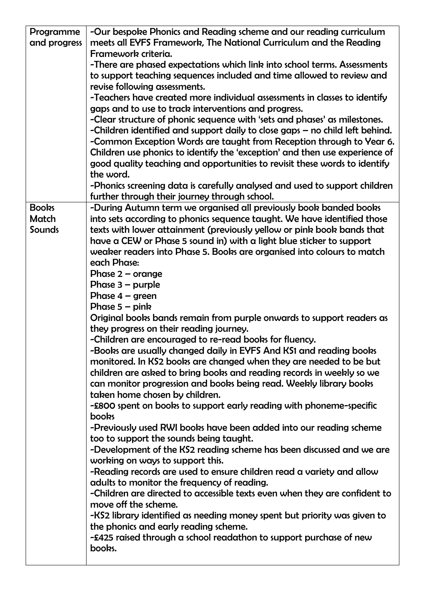| Programme     | -Our bespoke Phonics and Reading scheme and our reading curriculum             |
|---------------|--------------------------------------------------------------------------------|
| and progress  | meets all EYFS Framework, The National Curriculum and the Reading              |
|               | Framework criteria.                                                            |
|               | -There are phased expectations which link into school terms. Assessments       |
|               | to support teaching sequences included and time allowed to review and          |
|               | revise following assessments.                                                  |
|               | -Teachers have created more individual assessments in classes to identify      |
|               | gaps and to use to track interventions and progress.                           |
|               | -Clear structure of phonic sequence with 'sets and phases' as milestones.      |
|               | -Children identified and support daily to close gaps $-$ no child left behind. |
|               | -Common Exception Words are taught from Reception through to Year 6.           |
|               | Children use phonics to identify the 'exception' and then use experience of    |
|               | good quality teaching and opportunities to revisit these words to identify     |
|               | the word.                                                                      |
|               | -Phonics screening data is carefully analysed and used to support children     |
|               | further through their journey through school.                                  |
| <b>Books</b>  | -During Autumn term we organised all previously book banded books              |
| Match         | into sets according to phonics sequence taught. We have identified those       |
| <b>Sounds</b> | texts with lower attainment (previously yellow or pink book bands that         |
|               | have a CEW or Phase 5 sound in) with a light blue sticker to support           |
|               | weaker readers into Phase 5. Books are organised into colours to match         |
|               | each Phase:                                                                    |
|               | Phase $2$ – orange                                                             |
|               | Phase $3$ – purple                                                             |
|               | Phase $4 - green$                                                              |
|               | Phase $5 -$ pink                                                               |
|               | Original books bands remain from purple onwards to support readers as          |
|               | they progress on their reading journey.                                        |
|               | -Children are encouraged to re-read books for fluency.                         |
|               | -Books are usually changed daily in EYFS And KS1 and reading books             |
|               | monitored. In KS2 books are changed when they are needed to be but             |
|               | children are asked to bring books and reading records in weekly so we          |
|               | can monitor progression and books being read. Weekly library books             |
|               | taken home chosen by children.                                                 |
|               | -£800 spent on books to support early reading with phoneme-specific            |
|               | books                                                                          |
|               | -Previously used RWI books have been added into our reading scheme             |
|               | too to support the sounds being taught.                                        |
|               | -Development of the KS2 reading scheme has been discussed and we are           |
|               | working on ways to support this.                                               |
|               | -Reading records are used to ensure children read a variety and allow          |
|               | adults to monitor the frequency of reading.                                    |
|               | -Children are directed to accessible texts even when they are confident to     |
|               | move off the scheme.                                                           |
|               | -KS2 library identified as needing money spent but priority was given to       |
|               | the phonics and early reading scheme.                                          |
|               | -£425 raised through a school readathon to support purchase of new             |
|               | books.                                                                         |
|               |                                                                                |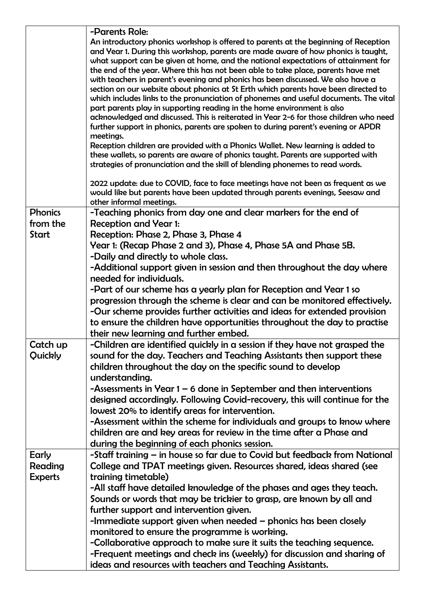|                            | -Parents Role:                                                                                                                                                                                                                                                                                                                                                                                                                                                                                                                   |
|----------------------------|----------------------------------------------------------------------------------------------------------------------------------------------------------------------------------------------------------------------------------------------------------------------------------------------------------------------------------------------------------------------------------------------------------------------------------------------------------------------------------------------------------------------------------|
|                            | An introductory phonics workshop is offered to parents at the beginning of Reception<br>and Year 1. During this workshop, parents are made aware of how phonics is taught,<br>what support can be given at home, and the national expectations of attainment for<br>the end of the year. Where this has not been able to take place, parents have met<br>with teachers in parent's evening and phonics has been discussed. We also have a<br>section on our website about phonics at St Erth which parents have been directed to |
|                            | which includes links to the pronunciation of phonemes and useful documents. The vital<br>part parents play in supporting reading in the home environment is also<br>acknowledged and discussed. This is reiterated in Year 2-6 for those children who need<br>further support in phonics, parents are spoken to during parent's evening or APDR<br>meetings.                                                                                                                                                                     |
|                            | Reception children are provided with a Phonics Wallet. New learning is added to<br>these wallets, so parents are aware of phonics taught. Parents are supported with<br>strategies of pronunciation and the skill of blending phonemes to read words.                                                                                                                                                                                                                                                                            |
|                            | 2022 update: due to COVID, face to face meetings have not been as frequent as we<br>would like but parents have been updated through parents evenings, Seesaw and<br>other informal meetings.                                                                                                                                                                                                                                                                                                                                    |
| <b>Phonics</b><br>from the | -Teaching phonics from day one and clear markers for the end of<br><b>Reception and Year 1:</b>                                                                                                                                                                                                                                                                                                                                                                                                                                  |
| Start                      | Reception: Phase 2, Phase 3, Phase 4                                                                                                                                                                                                                                                                                                                                                                                                                                                                                             |
|                            | Year 1: (Recap Phase 2 and 3), Phase 4, Phase 5A and Phase 5B.                                                                                                                                                                                                                                                                                                                                                                                                                                                                   |
|                            | -Daily and directly to whole class.                                                                                                                                                                                                                                                                                                                                                                                                                                                                                              |
|                            | -Additional support given in session and then throughout the day where                                                                                                                                                                                                                                                                                                                                                                                                                                                           |
|                            | needed for individuals.                                                                                                                                                                                                                                                                                                                                                                                                                                                                                                          |
|                            | -Part of our scheme has a yearly plan for Reception and Year 1 so                                                                                                                                                                                                                                                                                                                                                                                                                                                                |
|                            | progression through the scheme is clear and can be monitored effectively.<br>-Our scheme provides further activities and ideas for extended provision<br>to ensure the children have opportunities throughout the day to practise                                                                                                                                                                                                                                                                                                |
|                            | their new learning and further embed.                                                                                                                                                                                                                                                                                                                                                                                                                                                                                            |
| Catch up<br>Quickly        | -Children are identified quickly in a session if they have not grasped the<br>sound for the day. Teachers and Teaching Assistants then support these<br>children throughout the day on the specific sound to develop<br>understanding.                                                                                                                                                                                                                                                                                           |
|                            | -Assessments in Year $1 - 6$ done in September and then interventions<br>designed accordingly. Following Covid-recovery, this will continue for the<br>lowest 20% to identify areas for intervention.                                                                                                                                                                                                                                                                                                                            |
|                            | -Assessment within the scheme for individuals and groups to know where                                                                                                                                                                                                                                                                                                                                                                                                                                                           |
|                            | children are and key areas for review in the time after a Phase and                                                                                                                                                                                                                                                                                                                                                                                                                                                              |
|                            | during the beginning of each phonics session.                                                                                                                                                                                                                                                                                                                                                                                                                                                                                    |
| Early                      | -Staff training – in house so far due to Covid but feedback from National                                                                                                                                                                                                                                                                                                                                                                                                                                                        |
| Reading                    | College and TPAT meetings given. Resources shared, ideas shared (see                                                                                                                                                                                                                                                                                                                                                                                                                                                             |
| <b>Experts</b>             | training timetable)                                                                                                                                                                                                                                                                                                                                                                                                                                                                                                              |
|                            | -All staff have detailed knowledge of the phases and ages they teach.                                                                                                                                                                                                                                                                                                                                                                                                                                                            |
|                            | Sounds or words that may be trickier to grasp, are known by all and                                                                                                                                                                                                                                                                                                                                                                                                                                                              |
|                            | further support and intervention given.                                                                                                                                                                                                                                                                                                                                                                                                                                                                                          |
|                            | -Immediate support given when needed – phonics has been closely                                                                                                                                                                                                                                                                                                                                                                                                                                                                  |
|                            | monitored to ensure the programme is working.                                                                                                                                                                                                                                                                                                                                                                                                                                                                                    |
|                            | -Collaborative approach to make sure it suits the teaching sequence.                                                                                                                                                                                                                                                                                                                                                                                                                                                             |
|                            | -Frequent meetings and check ins (weekly) for discussion and sharing of<br>ideas and resources with teachers and Teaching Assistants.                                                                                                                                                                                                                                                                                                                                                                                            |